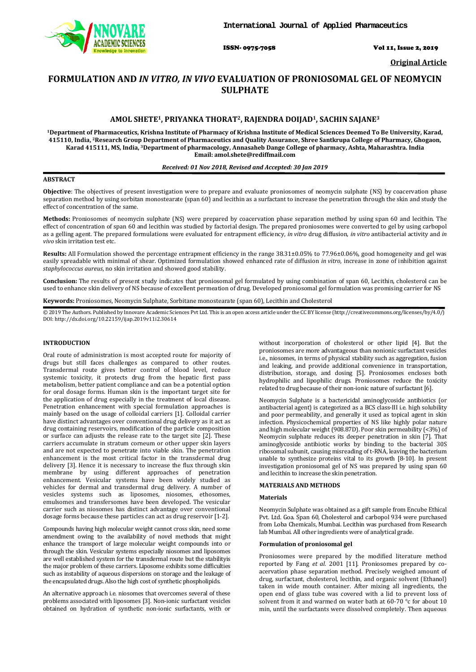

ISSN- 0975-7058 Vol 11, Issue 2, 2019

**Original Article**

# **FORMULATION AND** *IN VITRO, IN VIVO* **EVALUATION OF PRONIOSOMAL GEL OF NEOMYCIN SULPHATE**

# **AMOL SHETE1, PRIYANKA THORAT2, RAJENDRA DOIJAD1, SACHIN SAJANE3**

**1Department of Pharmaceutics, Krishna Institute of Pharmacy of Krishna Institute of Medical Sciences Deemed To Be University, Karad, 415110, India, 2Research Group Department of Pharmaceutics and Quality Assurance, Shree Santkrupa College of Pharmacy, Ghogaon, Karad 415111, MS, India, 3 Department of pharmacology, Annasaheb Dange College of pharmacy, Ashta, Maharashtra. India Email: amol.shete@rediffmail.com**

# *Received: 01 Nov 2018, Revised and Accepted: 30 Jan 2019*

# **ABSTRACT**

**Objective**: The objectives of present investigation were to prepare and evaluate proniosomes of neomycin sulphate (NS) by coacervation phase separation method by using sorbitan monostearate (span 60) and lecithin as a surfactant to increase the penetration through the skin and study the effect of concentration of the same.

**Methods:** Proniosomes of neomycin sulphate (NS) were prepared by coacervation phase separation method by using span 60 and lecithin. The effect of concentration of span 60 and lecithin was studied by factorial design. The prepared proniosomes were converted to gel by using carbopol as a gelling agent. The prepared formulations were evaluated for entrapment efficiency, *in vitro* drug diffusion, *in vitro* antibacterial activity and *in vivo* skin irritation test etc.

**Results:** All Formulation showed the percentage entrapment efficiency in the range 38.31±0.05% to 77.96±0.06%, good homogeneity and gel was easily spreadable with minimal of shear. Optimized formulation showed enhanced rate of diffusion *in vitro*, increase in zone of inhibition against *staphylococcus aureus*, no skin irritation and showed good stability.

**Conclusion:** The results of present study indicates that proniosomal gel formulated by using combination of span 60, Lecithin, cholesterol can be used to enhance skin delivery of NS because of excellent permeation of drug. Developed proniosomal gel formulation was promising carrier for NS

**Keywords:** Proniosomes, Neomycin Sulphate, Sorbitane monostearate (span 60), Lecithin and Cholesterol

 $\degree$  2019 The Authors. Published by Innovare Academic Sciences Pvt Ltd. This is an open access article under the CC BY license [\(http://creativecommons.org/licenses/by/4.0/\)](http://creativecommons.org/licenses/by/4.0/) DOI: http://dx.doi.org/10.22159/ijap.2019v11i2.30614

# **INTRODUCTION**

Oral route of administration is most accepted route for majority of drugs but still faces challenges as compared to other routes. Transdermal route gives better control of blood level, reduce systemic toxicity, it protects drug from the hepatic first pass metabolism, better patient compliance and can be a potential option for oral dosage forms. Human skin is the important target site for the application of drug especially in the treatment of local disease. Penetration enhancement with special formulation approaches is mainly based on the usage of colloidal carriers [1]. Colloidal carrier have distinct advantages over conventional drug delivery as it act as drug containing reservoirs, modification of the particle composition or surface can adjusts the release rate to the target site [2]. These carriers accumulate in stratum corneum or other upper skin layers and are not expected to penetrate into viable skin. The penetration enhancement is the most critical factor in the transdermal drug delivery [3]. Hence it is necessary to increase the flux through skin membrane by using different approaches of penetration enhancement. Vesicular systems have been widely studied as vehicles for dermal and transdermal drug delivery. A number of vesicles systems such as liposomes, niosomes, ethosomes, emulsomes and transfersomes have been developed. The vesicular carrier such as niosomes has distinct advantage over conventional dosage forms because these particles can act as drug reservoir [1-2].

Compounds having high molecular weight cannot cross skin, need some amendment owing to the availability of novel methods that might enhance the transport of large molecular weight compounds into or through the skin. Vesicular systems especially niosomes and liposomes are well established system for the transdermal route but the stabilityis the major problem of these carriers. Liposome exhibits some difficulties such as instability of aqueous dispersions on storage and the leakage of the encapsulated drugs. Also the high cost of synthetic phospholipids.

An alternative approach i.e. niosomes that overcomes several of these problems associated with liposomes [3]. Non-ionic surfactant vesicles obtained on hydration of synthetic non-ionic surfactants, with or

without incorporation of cholesterol or other lipid [4]. But the proniosomes are more advantageous than nonionic surfactant vesicles i.e., niosomes, in terms of physical stability such as aggregation, fusion and leaking, and provide additional convenience in transportation, distribution, storage, and dosing [5]. Proniosomes encloses both hydrophilic and lipophilic drugs. Proniosomes reduce the toxicity related to drug because of their non-ionic nature of surfactant [6].

Neomycin Sulphate is a bactericidal aminoglycoside antibiotics (or antibacterial agent) is categorized as a BCS class-III i.e. high solubility and poor permeability, and generally it used as topical agent in skin infection. Physicochemical properties of NS like highly polar nature and high molecular weight (908.87D). Poor skin permeability (<3%) of Neomycin sulphate reduces its deeper penetration in skin [7]. That aminoglycoside antibiotic works by binding to the bacterial 30S ribosomal subunit, causing misreading of t-RNA, leaving the bacterium unable to synthesize proteins vital to its growth [8-10]. In present investigation proniosomal gel of NS was prepared by using span 60 and lecithin to increase the skin penetration.

#### **MATERIALS AND METHODS**

#### **Materials**

Neomycin Sulphate was obtained as a gift sample from Encube Ethical Pvt. Ltd. Goa. Span 60, Cholesterol and carbopol 934 were purchased from Loba Chemicals, Mumbai. Lecithin was purchased from Research lab Mumbai. All other ingredients were of analytical grade.

#### **Formulation of proniosomal gel**

Proniosomes were prepared by the modified literature method reported by Fang *et al.* 2001 [11]. Proniosomes prepared by coacervation phase separation method. Precisely weighed amount of drug, surfactant, cholesterol, lecithin, and organic solvent (Ethanol) taken in wide mouth container. After mixing all ingredients, the open end of glass tube was covered with a lid to prevent loss of solvent from it and warmed on water bath at 60-70 °c for about 10 min, until the surfactants were dissolved completely. Then aqueous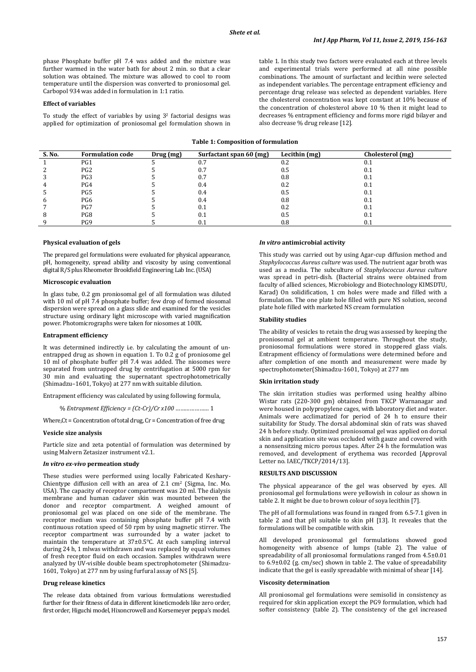phase Phosphate buffer pH 7.4 was added and the mixture was further warmed in the water bath for about 2 min. so that a clear solution was obtained. The mixture was allowed to cool to room temperature until the dispersion was converted to proniosomal gel. Carbopol 934 was added in formulation in 1:1 ratio.

#### **Effect of variables**

To study the effect of variables by using 32 factorial designs was applied for optimization of proniosomal gel formulation shown in table 1. In this study two factors were evaluated each at three levels and experimental trials were performed at all nine possible combinations. The amount of surfactant and lecithin were selected as independent variables. The percentage entrapment efficiency and percentage drug release was selected as dependent variables. Here the cholesterol concentration was kept constant at 10% because of the concentration of cholesterol above 10 % then it might lead to decreases % entrapment efficiency and forms more rigid bilayer and also decrease % drug release [12].

| Table 1: Composition of formulation |  |
|-------------------------------------|--|
|-------------------------------------|--|

| S. No. | <b>Formulation code</b> | Drug (mg) | Surfactant span 60 (mg) | Lecithin (mg) | Cholesterol (mg) |  |
|--------|-------------------------|-----------|-------------------------|---------------|------------------|--|
|        | PG1                     |           | 0.7                     | 0.2           |                  |  |
|        | PG <sub>2</sub>         |           | 0.7                     | 0.5           | U. J             |  |
|        | PG <sub>3</sub>         |           | 0.7                     | 0.8           |                  |  |
|        | PG4                     |           | 0.4                     | 0.2           | O. I             |  |
|        | PG5                     |           | 0.4                     | 0.5           | U. I             |  |
|        | PG6                     |           | 0.4                     | 0.8           |                  |  |
|        | PG7                     |           | 0.1                     | 0.2           |                  |  |
|        | PG8                     |           | 0.1                     | 0.5           | V. 1             |  |
|        | PG9                     |           | $\rm 0.1$               | 0.8           | v.               |  |

#### **Physical evaluation of gels**

The prepared gel formulations were evaluated for physical appearance, pH, homogeneity, spread ability and viscosity by using conventional digital R/S plus Rheometer Brookfield Engineering Lab Inc. (USA)

### **Microscopic evaluation**

In glass tube, 0.2 gm proniosomal gel of all formulation was diluted with 10 ml of pH 7.4 phosphate buffer; few drop of formed niosomal dispersion were spread on a glass slide and examined for the vesicles structure using ordinary light microscope with varied magnification power. Photomicrographs were taken for niosomes at 100X.

### **Entrapment efficiency**

It was determined indirectly i.e. by calculating the amount of unentrapped drug as shown in equation 1. To 0.2 g of proniosome gel 10 ml of phosphate buffer pH 7.4 was added. The niosomes were separated from untrapped drug by centrifugation at 5000 rpm for 30 min and evaluating the supernatant spectrophotometrically (Shimadzu–1601, Tokyo) at 277 nm with suitable dilution.

Entrapment efficiency was calculated by using following formula,

% *Entrapment Efficiency = (Ct-Cr)/Cr x100* ………………… 1

Where,Ct = Concentration of total drug, Cr = Concentration of free drug

### **Vesicle size analysis**

Particle size and zeta potential of formulation was determined by using Malvern Zetasizer instrument v2.1.

#### *In vitro ex-vivo* **permeation study**

These studies were performed using locally Fabricated Keshary-Chientype diffusion cell with an area of 2.1 cm2 (Sigma, Inc. Mo. USA). The capacity of receptor compartment was 20 ml. The dialysis membrane and human cadaver skin was mounted between the donor and receptor compartment. A weighed amount of proniosomal gel was placed on one side of the membrane. The receptor medium was containing phosphate buffer pH 7.4 with continuous rotation speed of 50 rpm by using magnetic stirrer. The receptor compartment was surrounded by a water jacket to maintain the temperature at 37±0.5°C. At each sampling interval during 24 h, 1 mlwas withdrawn and was replaced by equal volumes of fresh receptor fluid on each occasion. Samples withdrawn were analyzed by UV-visible double beam spectrophotometer (Shimadzu-1601, Tokyo) at 277 nm by using furfural assay of NS [5].

### **Drug release kinetics**

The release data obtained from various formulations werestudied further for their fitness of data in different kineticmodels like zero order, first order, Higuchi model, Hixoncrowell and Korsemeyer peppa's model.

#### *In vitro* **antimicrobial activity**

This study was carried out by using Agar-cup diffusion method and *Staphylococcus Aureus culture* was used. The nutrient agar broth was used as a media. The subculture of *Staphylococcus Aureus culture* was spread in petri-dish. (Bacterial strains were obtained from faculty of allied sciences, Microbiology and Biotechnology KIMSDTU, Karad) On solidification, 1 cm holes were made and filled with a formulation. The one plate hole filled with pure NS solution, second plate hole filled with marketed NS cream formulation

#### **Stability studies**

The ability of vesicles to retain the drug was assessed by keeping the proniosomal gel at ambient temperature. Throughout the study, proniosomal formulations were stored in stoppered glass vials. Entrapment efficiency of formulations were determined before and after completion of one month and measurement were made by spectrophotometer(Shimadzu-1601, Tokyo) at 277 nm

#### **Skin irritation study**

The skin irritation studies was performed using healthy albino Wistar rats (220-300 gm) obtained from TKCP Warnanagar and were housed in polypropylene cages, with laboratory diet and water. Animals were acclimatized for period of 24 h to ensure their suitability for Study. The dorsal abdominal skin of rats was shaved 24 h before study. Optimized proniosomal gel was applied on dorsal skin and application site was occluded with gauze and covered with a nonsensitzing micro porous tapes. After 24 h the formulation was removed, and development of erythema was recorded [Approval Letter no. IAEC/TKCP/2014/13].

#### **RESULTS AND DISCUSSION**

The physical appearance of the gel was observed by eyes. All proniosomal gel formulations were yellowish in colour as shown in table 2. It might be due to brown colour of soya lecithin [7].

The pH of all formulations was found in ranged from 6.5-7.1 given in table 2 and that pH suitable to skin pH [13]. It reveales that the formulations will be compatible with skin.

All developed proniosomal gel formulations showed good homogeneity with absence of lumps (table 2). The value of spreadability of all proniosomal formulations ranged from 4.5±0.01 to 6.9±0.02 (g. cm/sec) shown in table 2. The value of spreadability indicate that the gel is easily spreadable with minimal of shear [14].

#### **Viscosity determination**

All proniosomal gel formulations were semisolid in consistency as required for skin application except the PG9 formulation, which had softer consistency (table 2). The consistency of the gel increased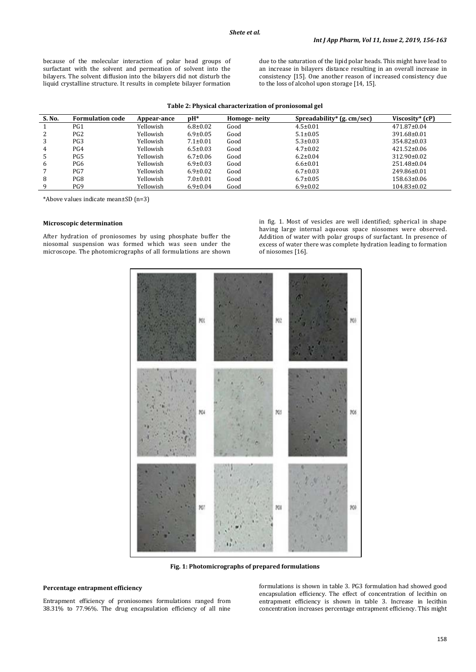because of the molecular interaction of polar head groups of surfactant with the solvent and permeation of solvent into the bilayers. The solvent diffusion into the bilayers did not disturb the liquid crystalline structure. It results in complete bilayer formation due to the saturation of the lipid polar heads. This might have lead to an increase in bilayers distance resulting in an overall increase in consistency [15]. One another reason of increased consistency due to the loss of alcohol upon storage [14, 15].

|  | Table 2: Physical characterization of proniosomal gel |  |  |
|--|-------------------------------------------------------|--|--|
|--|-------------------------------------------------------|--|--|

| S. No. | <b>Formulation code</b> | Appear-ance | $pH*$          | Homoge-neity | Spreadability* $(g. cm/sec)$ | Viscosity* (cP)   |
|--------|-------------------------|-------------|----------------|--------------|------------------------------|-------------------|
|        | PG1                     | Yellowish   | $6.8 \pm 0.02$ | Good         | $4.5 \pm 0.01$               | $471.87 \pm 0.04$ |
| 2      | PG <sub>2</sub>         | Yellowish   | $6.9 \pm 0.05$ | Good         | $5.1 \pm 0.05$               | $391.68 \pm 0.01$ |
|        | PG3                     | Yellowish   | $7.1 \pm 0.01$ | Good         | $5.3 \pm 0.03$               | $354.82 \pm 0.03$ |
| 4      | PG4                     | Yellowish   | $6.5 \pm 0.03$ | Good         | $4.7 \pm 0.02$               | $421.52 \pm 0.06$ |
|        | PG5                     | Yellowish   | $6.7 \pm 0.06$ | Good         | $6.2 \pm 0.04$               | $312.90 \pm 0.02$ |
| 6      | PG6                     | Yellowish   | $6.9 \pm 0.03$ | Good         | $6.6 \pm 0.01$               | 251.48±0.04       |
|        | PG7                     | Yellowish   | $6.9 \pm 0.02$ | Good         | $6.7 \pm 0.03$               | 249.86±0.01       |
| 8      | PG8                     | Yellowish   | $7.0 \pm 0.01$ | Good         | $6.7 \pm 0.05$               | 158.63±0.06       |
| q      | PG9                     | Yellowish   | $6.9 \pm 0.04$ | Good         | $6.9 \pm 0.02$               | $104.83 \pm 0.02$ |

\*Above values indicate mean±SD (n=3)

# **Microscopic determination**

After hydration of proniosomes by using phosphate buffer the niosomal suspension was formed which was seen under the microscope. The photomicrographs of all formulations are shown

in fig. 1. Most of vesicles are well identified; spherical in shape having large internal aqueous space niosomes were observed. Addition of water with polar groups of surfactant. In presence of excess of water there was complete hydration leading to formation of niosomes [16].



**Fig. 1: Photomicrographs of prepared formulations**

#### **Percentage entrapment efficiency**

Entrapment efficiency of proniosomes formulations ranged from 38.31% to 77.96%. The drug encapsulation efficiency of all nine

formulations is shown in table 3. PG3 formulation had showed good encapsulation efficiency. The effect of concentration of lecithin on entrapment efficiency is shown in table 3. Increase in lecithin concentration increases percentage entrapment efficiency. This might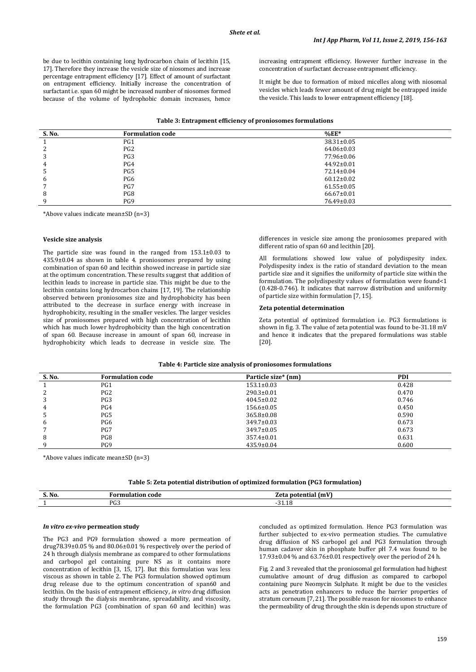be due to lecithin containing long hydrocarbon chain of lecithin [15, 17]. Therefore they increase the vesicle size of niosomes and increase percentage entrapment efficiency [17]. Effect of amount of surfactant on entrapment efficiency. Initially increase the concentration of surfactant i.e. span 60 might be increased number of niosomes formed because of the volume of hydrophobic domain increases, hence increasing entrapment efficiency. However further increase in the concentration of surfactant decrease entrapment efficiency.

It might be due to formation of mixed micelles along with niosomal vesicles which leads fewer amount of drug might be entrapped inside the vesicle. This leads to lower entrapment efficiency [18].

|  |  | Table 3: Entrapment efficiency of proniosomes formulations |  |
|--|--|------------------------------------------------------------|--|
|--|--|------------------------------------------------------------|--|

| S. No. | <b>Formulation code</b> | $%EE*$           |  |
|--------|-------------------------|------------------|--|
|        | PG1                     | $38.31 \pm 0.05$ |  |
| ∠      | PG <sub>2</sub>         | $64.06 \pm 0.03$ |  |
| 3      | PG3                     | 77.96±0.06       |  |
| 4      | PG4                     | $44.92 \pm 0.01$ |  |
| ć      | PG5                     | 72.14±0.04       |  |
| b      | PG6                     | $60.12 \pm 0.02$ |  |
|        | PG7                     | $61.55 \pm 0.05$ |  |
| 8      | PG8                     | $66.67 \pm 0.01$ |  |
|        | PG9                     | 76.49±0.03       |  |

\*Above values indicate mean±SD (n=3)

## **Vesicle size analysis**

The particle size was found in the ranged from 153.1±0.03 to 435.9±0.04 as shown in table 4. proniosomes prepared by using combination of span 60 and lecithin showed increase in particle size at the optimum concentration. These results suggest that addition of lecithin leads to increase in particle size. This might be due to the lecithin contains long hydrocarbon chains [17, 19]. The relationship observed between proniosomes size and hydrophobicity has been attributed to the decrease in surface energy with increase in hydrophobicity, resulting in the smaller vesicles. The larger vesicles size of proniosomes prepared with high concentration of lecithin which has much lower hydrophobicity than the high concentration of span 60. Because increase in amount of span 60, increase in hydrophobicity which leads to decrease in vesicle size. The differences in vesicle size among the proniosomes prepared with different ratio of span 60 and lecithin [20].

All formulations showed low value of polydispesity index. Polydispesity index is the ratio of standard deviation to the mean particle size and it signifies the uniformity of particle size within the formulation. The polydispesity values of formulation were found<1 (0.428-0.746). It indicates that narrow distribution and uniformity of particle size within formulation [7, 15].

#### **Zeta potential determination**

Zeta potential of optimized formulation i.e. PG3 formulations is shown in fig. 3. The value of zeta potential was found to be-31.18 mV and hence it indicates that the prepared formulations was stable [20].

| Table 4: Particle size analysis of proniosomes formulations |  |  |  |
|-------------------------------------------------------------|--|--|--|
|-------------------------------------------------------------|--|--|--|

| S. No. | <b>Formulation code</b> | Particle size* (nm) | <b>PDI</b> |
|--------|-------------------------|---------------------|------------|
|        | PG1                     | $153.1 \pm 0.03$    | 0.428      |
| 2      | PG <sub>2</sub>         | $290.3 \pm 0.01$    | 0.470      |
| 3      | PG3                     | $404.5 \pm 0.02$    | 0.746      |
| 4      | PG4                     | $156.6 \pm 0.05$    | 0.450      |
| 5      | PG5                     | $365.8 \pm 0.08$    | 0.590      |
| 6      | PG6                     | $349.7 \pm 0.03$    | 0.673      |
|        | PG7                     | $349.7 \pm 0.05$    | 0.673      |
| 8      | PG8                     | $357.4 \pm 0.01$    | 0.631      |
| 9      | PG9                     | $435.9 \pm 0.04$    | 0.600      |

\*Above values indicate mean±SD (n=3)

**Table 5: Zeta potential distribution of optimized formulation (PG3 formulation)**

| S. No.        | Formu<br><br>coue<br>тина | Let <sub>2</sub><br>not |
|---------------|---------------------------|-------------------------|
| <u>. на т</u> | DCD<br>ה דר               | 10<br>51.Iö             |
|               |                           |                         |

#### *In vitro ex-vivo* **permeation study**

The PG3 and PG9 formulation showed a more permeation of drug78.39±0.05 % and 80.06±0.01 % respectively over the period of 24 h through dialysis membrane as compared to other formulations and carbopol gel containing pure NS as it contains more concentration of lecithin [3, 15, 17]. But this formulation was less viscous as shown in table 2. The PG3 formulation showed optimum drug release due to the optimum concentration of span60 and lecithin. On the basis of entrapment efficiency, *in vitro* drug diffusion study through the dialysis membrane, spreadability, and viscosity, the formulation PG3 (combination of span 60 and lecithin) was

concluded as optimized formulation. Hence PG3 formulation was further subjected to ex-vivo permeation studies. The cumulative drug diffusion of NS carbopol gel and PG3 formulation through human cadaver skin in phosphate buffer pH 7.4 was found to be 17.93±0.04 % and 63.76±0.01 respectively over the period of 24 h.

Fig. 2 and 3 revealed that the proniosomal gel formulation had highest cumulative amount of drug diffusion as compared to carbopol containing pure Neomycin Sulphate. It might be due to the vesicles acts as penetration enhancers to reduce the barrier properties of stratum corneum [7, 21]. The possible reason for niosomes to enhance the permeability of drug through the skin is depends upon structure of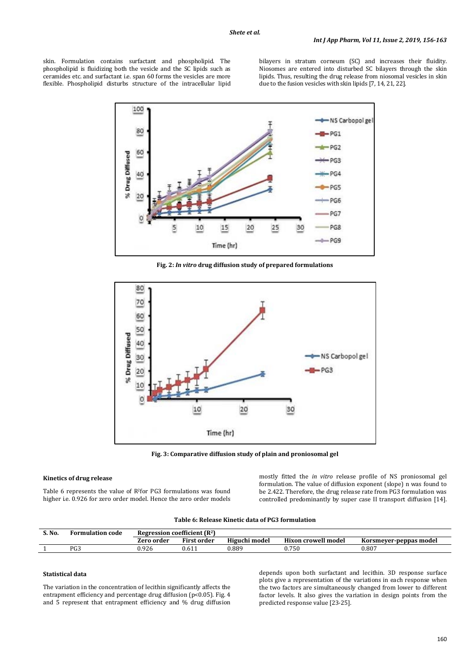skin. Formulation contains surfactant and phospholipid. The phospholipid is fluidizing both the vesicle and the SC lipids such as ceramides etc. and surfactant i.e. span 60 forms the vesicles are more flexible. Phospholipid disturbs structure of the intracellular lipid bilayers in stratum corneum (SC) and increases their fluidity. Niosomes are entered into disturbed SC bilayers through the skin lipids. Thus, resulting the drug release from niosomal vesicles in skin due to the fusion vesicles with skin lipids [7, 14, 21, 22].



**Fig. 2:** *In vitro* **drug diffusion study of prepared formulations**



**Fig. 3: Comparative diffusion study of plain and proniosomal gel**

#### **Kinetics of drug release**

Table 6 represents the value of R<sup>2</sup>for PG3 formulations was found higher i.e. 0.926 for zero order model. Hence the zero order models

mostly fitted the *in vitro* release profile of NS proniosomal gel formulation. The value of diffusion exponent (slope) n was found to be 2.422. Therefore, the drug release rate from PG3 formulation was controlled predominantly by super case II transport diffusion [14].

| Table 6: Release Kinetic data of PG3 formulation |  |  |  |
|--------------------------------------------------|--|--|--|
|--------------------------------------------------|--|--|--|

| S. No.   | code<br><b>Formulation</b> | Regression coefficient (R <sup>2</sup> ) |                    |               |                     |                        |
|----------|----------------------------|------------------------------------------|--------------------|---------------|---------------------|------------------------|
|          |                            | <i>L</i> ero order                       | <b>First order</b> | Higuchi model | Hixon crowell model | Korsmever-peppas model |
| <b>.</b> | PG3                        | 0.926                                    | 0.611              | $0.88^\circ$  | V.750               | 0.807                  |

# **Statistical data**

The variation in the concentration of lecithin significantly affects the entrapment efficiency and percentage drug diffusion (p<0.05). Fig. 4 and 5 represent that entrapment efficiency and % drug diffusion

depends upon both surfactant and lecithin. 3D response surface plots give a representation of the variations in each response when the two factors are simultaneously changed from lower to different factor levels. It also gives the variation in design points from the predicted response value [23-25].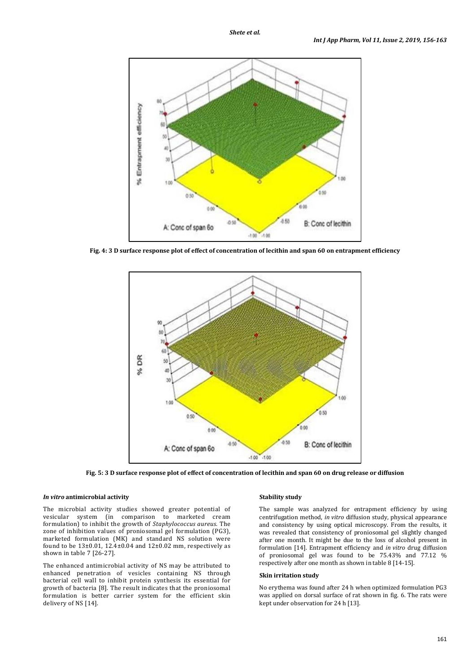

**Fig. 4: 3 D surface response plot of effect of concentration of lecithin and span 60 on entrapment efficiency**



**Fig. 5: 3 D surface response plot of effect of concentration of lecithin and span 60 on drug release or diffusion**

# *In vitro* **antimicrobial activity**

The microbial activity studies showed greater potential of vesicular system (in comparison to marketed cream formulation) to inhibit the growth of *Staphylococcus aureus*. The zone of inhibition values of proniosomal gel formulation (PG3), marketed formulation (MK) and standard NS solution were found to be 13±0.01, 12.4±0.04 and 12±0.02 mm, respectively as shown in table 7 [26-27].

The enhanced antimicrobial activity of NS may be attributed to enhanced penetration of vesicles containing NS through bacterial cell wall to inhibit protein synthesis its essential for growth of bacteria [8]. The result indicates that the proniosomal formulation is better carrier system for the efficient skin delivery of NS [14].

# **Stability study**

The sample was analyzed for entrapment efficiency by using centrifugation method, *in vitro* diffusion study, physical appearance and consistency by using optical microscopy. From the results, it was revealed that consistency of proniosomal gel slightly changed after one month. It might be due to the loss of alcohol present in formulation [14]. Entrapment efficiency and *in vitro* drug diffusion of proniosomal gel was found to be 75.43% and 77.12 % respectively after one month as shown in table 8 [14-15].

### **Skin irritation study**

No erythema was found after 24 h when optimized formulation PG3 was applied on dorsal surface of rat shown in fig. 6. The rats were kept under observation for 24 h [13].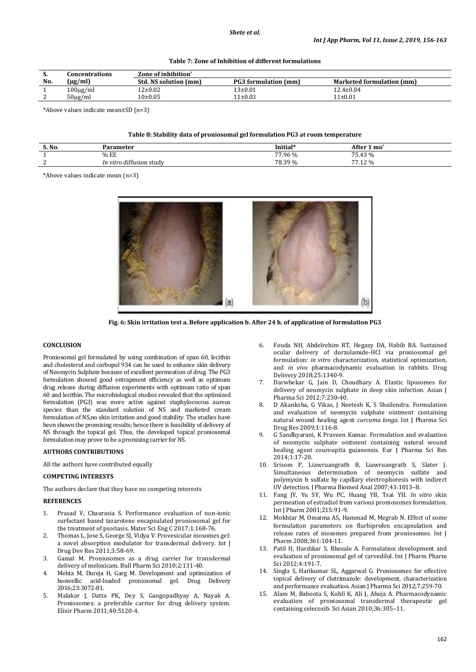# **Table 7: Zone of Inhibition of different formulations**

| э.         | Concentrations | Zone of inhibition*          |                             |                                  |  |  |
|------------|----------------|------------------------------|-----------------------------|----------------------------------|--|--|
| No.        | $(\mu$ g/ml)   | <b>Std. NS solution (mm)</b> | <b>PG3</b> formulation (mm) | <b>Marketed formulation (mm)</b> |  |  |
|            | $100\mu g/ml$  | $12+0.02$                    | 13±0.01                     | $12.4 \pm 0.04$                  |  |  |
| $\sqrt{2}$ | $50\mu g/ml$   | $10+0.05$                    | 11±0.03                     | $11\pm0.01$                      |  |  |

\*Above values indicate mean±SD (n=3)

## **Table 8: Stability data of proniosomal gel formulation PG3 at room temperature**

| S. No.     | Parameter                                 | Initial* | After<br>$1 \text{ mo}^*$                  |
|------------|-------------------------------------------|----------|--------------------------------------------|
|            | % EE                                      | 77.96 %  | 75.43 %                                    |
| $\sqrt{2}$ | $\cdots$<br>) diffusion study<br>In vitro | 78.39%   | 771706<br>$\overline{\phantom{a}}$<br>1.12 |

\*Above values indicate mean (n=3)



**Fig. 6: Skin irritation test a. Before application b. After 24 h. of application of formulation PG3**

# **CONCLUSION**

Proniosomal gel formulated by using combination of span 60, lecithin and cholesterol and carbopol 934 can be used to enhance skin delivery of Neomycin Sulphate because of excellent permeation of drug. The PG3 formulation showed good entrapment efficiency as well as optimum drug release during diffusion experiments with optimum ratio of span 60 and lecithin. The microbiological studies revealed that the optimized formulation (PG3) was more active against staphylococcus aureus species than the standard solution of NS and marketed cream formulation of NS,no skin irritation and good stability. The studies have been shown the promising results; hence there is feasibility of delivery of NS through the topical gel. Thus, the developed topical proniosomal formulation may prove to be a promising carrier for NS.

#### **AUTHORS CONTRIBUTIONS**

All the authors have contributed equally

#### **COMPETING INTERESTS**

The authors declare that they have no competing interests

### **REFERENCES**

- 1. Prasad V, Chaurasia S. Performance evaluation of non-ionic surfactant based tazarotene encapsulated proniosomal gel for the treatment of psoriasis. Mater Sci Eng C 2017;1:168-76.
- 2. Thomas L, Jose S, George SJ, Vidya V. Provesicular niosomes gel: a novel absorption modulator for transdermal delivery. Int J Drug Dev Res 2011;3:58-69.
- 3. Gamal M. Proniosomes as a drug carrier for transdermal delivery of meloxicam. Bull Pharm Sci 2010;2:131-40.
- 4. Mehta M, Dureja H, Garg M. Development and optimization of boswellic acid-loaded proniosomal gel. Drug Delivery 2016;23:3072-81.
- 5. Malakar J, Datta PK, Dey S, Gangopadhyay A, Nayak A. Proniosomes: a preferable carrier for drug delivery system. Elixir Pharm 2011;40:5120-4.
- 6. Fouda NH, Abdelrehim RT, Hegazy DA, Habib BA. Sustained ocular delivery of dorzolamide-HCl via proniosomal gel formulation: *in vitro* characterization, statistical optimization, and *in vivo* pharmacodynamic evaluation in rabbits. Drug Delivery 2018;25:1340-9.
- Darwhekar G, Jain D, Choudhary A. Elastic liposomes for delivery of neomycin sulphate in deep skin infection. Asian J Pharma Sci 2012;7:230-40.
- 8. D Akanksha, G Vikas, J Neetesh K, S Shailendra. Formulation and evaluation of neomycin sulphate ointment containing natural wound healing agent *curcuma longa.* Int J Pharma Sci Drug Res 2009;1:116-8.
- 9. G Sandhyarani, K Praveen Kumar. Formulation and evaluation of neomycin sulphate ointment containing natural wound healing agent couroupita guianensis. Eur J Pharma Sci Res 2014;1:17-20.
- 10. Srisom P, Liawruangrath B, Liawruangrath S, Slater J. Simultaneous determination of neomycin sulfate and polymyxin b sulfate by capillary electrophoresis with indirect UV detection. J Pharma Biomed Anal 2007;43:1013–8.
- 11. Fang JY, Yu SY, Wu PC, Huang YB, Tsai YH. *In vitro* skin permeation of estradiol from various proniosomes formulation. Int J Pharm 2001;215:91-9.
- 12. Mokhtar M, Omaima AS, Hammad M, Megrab N. Effect of some formulation parameters on flurbiprofen encapsulation and release rates of niosomes prepared from proniosomes. Int J Pharm 2008;361:104-11.
- 13. Patil H, Hardikar S, Bhosale A. Formulation development and evaluation of proniosomal gel of carvedilol. Int J Pharm Pharm Sci 2012;4:191-7.
- 14. Singla S, Harikumar SL, Aggarwal G. Proniosomes for effective topical delivery of clotrimazole: development, characterization and performance evaluation. Asian J Pharma Sci 2012;7:259-70.
- 15. Alam M, Baboota S, Kohli K, Ali J, Ahuja A. Pharmacodynamic evaluation of proniosomal transdermal therapeutic gel containing celecoxib. Sci Asian 2010;36:305–11.